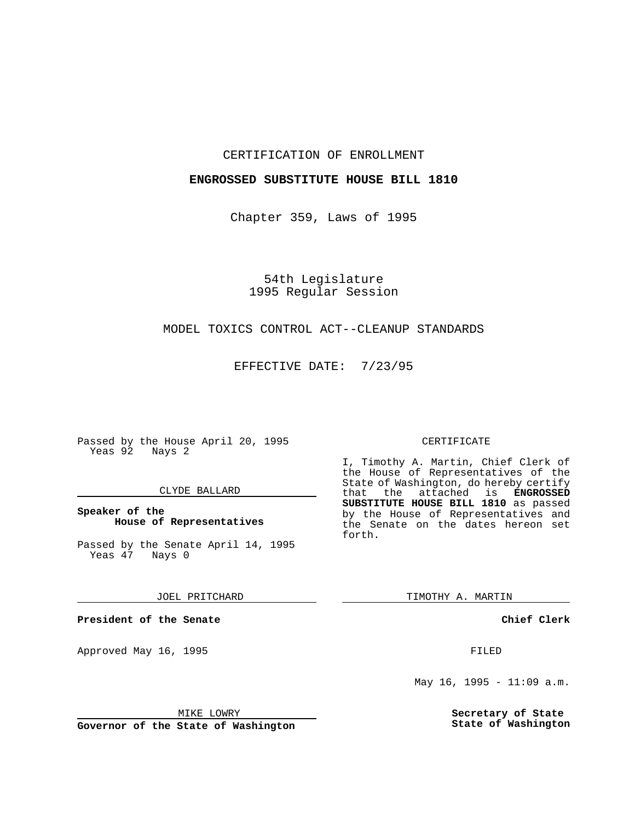## CERTIFICATION OF ENROLLMENT

## **ENGROSSED SUBSTITUTE HOUSE BILL 1810**

Chapter 359, Laws of 1995

54th Legislature 1995 Regular Session

## MODEL TOXICS CONTROL ACT--CLEANUP STANDARDS

EFFECTIVE DATE: 7/23/95

Passed by the House April 20, 1995 Yeas 92 Nays 2

## CLYDE BALLARD

**Speaker of the House of Representatives**

Passed by the Senate April 14, 1995<br>Yeas 47 Nays 0 Yeas 47

JOEL PRITCHARD

**President of the Senate**

Approved May 16, 1995 **FILED** 

#### MIKE LOWRY

**Governor of the State of Washington**

#### CERTIFICATE

I, Timothy A. Martin, Chief Clerk of the House of Representatives of the State of Washington, do hereby certify<br>that the attached is **ENGROSSED** the attached is **ENGROSSED SUBSTITUTE HOUSE BILL 1810** as passed by the House of Representatives and the Senate on the dates hereon set forth.

TIMOTHY A. MARTIN

**Chief Clerk**

May 16, 1995 -  $11:09$  a.m.

**Secretary of State State of Washington**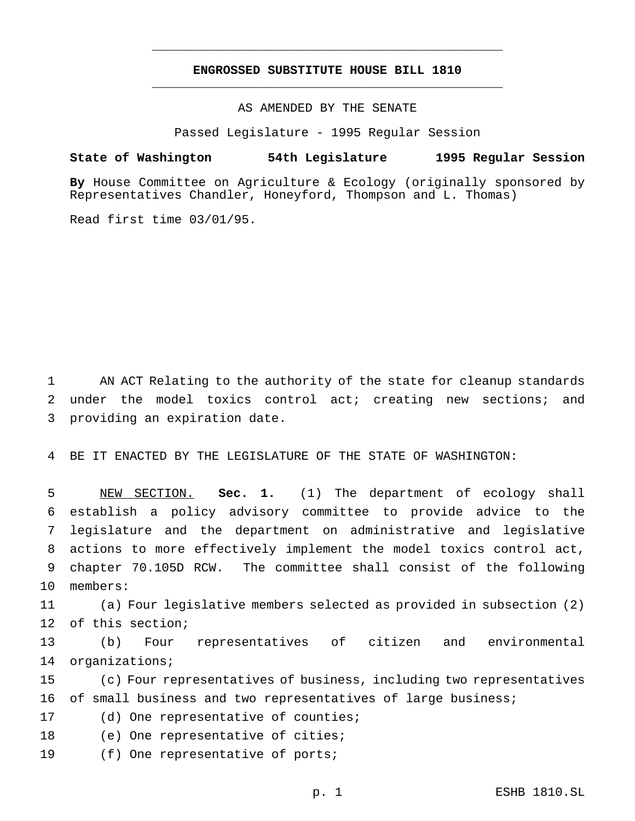# **ENGROSSED SUBSTITUTE HOUSE BILL 1810** \_\_\_\_\_\_\_\_\_\_\_\_\_\_\_\_\_\_\_\_\_\_\_\_\_\_\_\_\_\_\_\_\_\_\_\_\_\_\_\_\_\_\_\_\_\_\_

\_\_\_\_\_\_\_\_\_\_\_\_\_\_\_\_\_\_\_\_\_\_\_\_\_\_\_\_\_\_\_\_\_\_\_\_\_\_\_\_\_\_\_\_\_\_\_

AS AMENDED BY THE SENATE

Passed Legislature - 1995 Regular Session

#### **State of Washington 54th Legislature 1995 Regular Session**

**By** House Committee on Agriculture & Ecology (originally sponsored by Representatives Chandler, Honeyford, Thompson and L. Thomas)

Read first time 03/01/95.

1 AN ACT Relating to the authority of the state for cleanup standards 2 under the model toxics control act; creating new sections; and 3 providing an expiration date.

4 BE IT ENACTED BY THE LEGISLATURE OF THE STATE OF WASHINGTON:

 NEW SECTION. **Sec. 1.** (1) The department of ecology shall establish a policy advisory committee to provide advice to the legislature and the department on administrative and legislative actions to more effectively implement the model toxics control act, chapter 70.105D RCW. The committee shall consist of the following 10 members:

11 (a) Four legislative members selected as provided in subsection (2) 12 of this section;

13 (b) Four representatives of citizen and environmental 14 organizations;

15 (c) Four representatives of business, including two representatives 16 of small business and two representatives of large business;

17 (d) One representative of counties;

18 (e) One representative of cities;

19 (f) One representative of ports;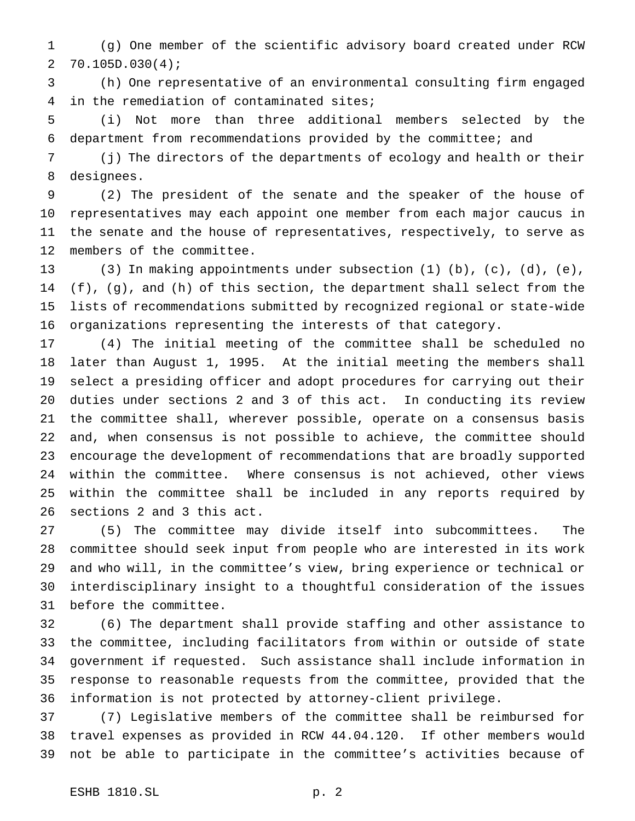(g) One member of the scientific advisory board created under RCW 70.105D.030(4);

 (h) One representative of an environmental consulting firm engaged in the remediation of contaminated sites;

 (i) Not more than three additional members selected by the department from recommendations provided by the committee; and

 (j) The directors of the departments of ecology and health or their designees.

 (2) The president of the senate and the speaker of the house of representatives may each appoint one member from each major caucus in the senate and the house of representatives, respectively, to serve as members of the committee.

 (3) In making appointments under subsection (1) (b), (c), (d), (e), (f), (g), and (h) of this section, the department shall select from the lists of recommendations submitted by recognized regional or state-wide organizations representing the interests of that category.

 (4) The initial meeting of the committee shall be scheduled no later than August 1, 1995. At the initial meeting the members shall select a presiding officer and adopt procedures for carrying out their duties under sections 2 and 3 of this act. In conducting its review the committee shall, wherever possible, operate on a consensus basis and, when consensus is not possible to achieve, the committee should encourage the development of recommendations that are broadly supported within the committee. Where consensus is not achieved, other views within the committee shall be included in any reports required by sections 2 and 3 this act.

 (5) The committee may divide itself into subcommittees. The committee should seek input from people who are interested in its work and who will, in the committee's view, bring experience or technical or interdisciplinary insight to a thoughtful consideration of the issues before the committee.

 (6) The department shall provide staffing and other assistance to the committee, including facilitators from within or outside of state government if requested. Such assistance shall include information in response to reasonable requests from the committee, provided that the information is not protected by attorney-client privilege.

 (7) Legislative members of the committee shall be reimbursed for travel expenses as provided in RCW 44.04.120. If other members would not be able to participate in the committee's activities because of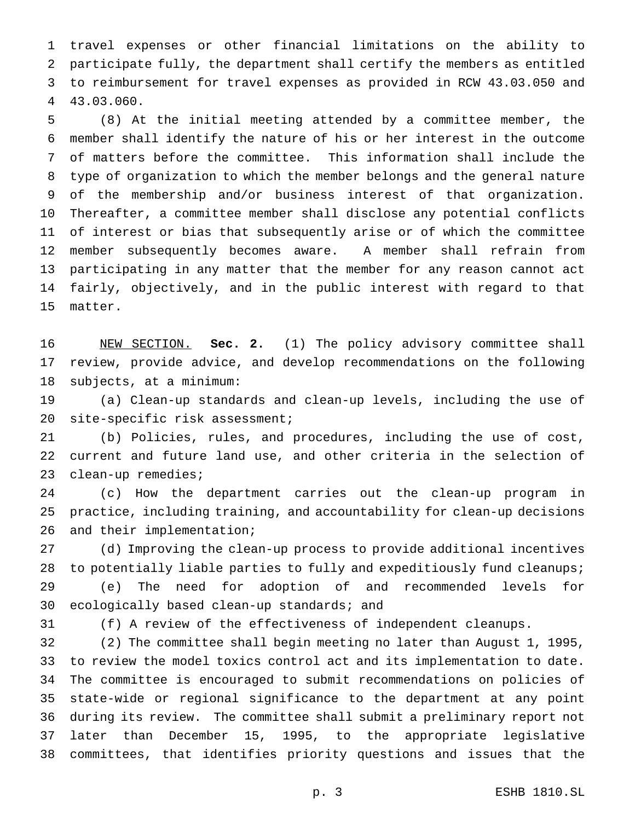travel expenses or other financial limitations on the ability to participate fully, the department shall certify the members as entitled to reimbursement for travel expenses as provided in RCW 43.03.050 and 43.03.060.

 (8) At the initial meeting attended by a committee member, the member shall identify the nature of his or her interest in the outcome of matters before the committee. This information shall include the type of organization to which the member belongs and the general nature of the membership and/or business interest of that organization. Thereafter, a committee member shall disclose any potential conflicts of interest or bias that subsequently arise or of which the committee member subsequently becomes aware. A member shall refrain from participating in any matter that the member for any reason cannot act fairly, objectively, and in the public interest with regard to that matter.

 NEW SECTION. **Sec. 2.** (1) The policy advisory committee shall review, provide advice, and develop recommendations on the following subjects, at a minimum:

 (a) Clean-up standards and clean-up levels, including the use of 20 site-specific risk assessment;

 (b) Policies, rules, and procedures, including the use of cost, current and future land use, and other criteria in the selection of clean-up remedies;

 (c) How the department carries out the clean-up program in practice, including training, and accountability for clean-up decisions and their implementation;

 (d) Improving the clean-up process to provide additional incentives 28 to potentially liable parties to fully and expeditiously fund cleanups;

 (e) The need for adoption of and recommended levels for ecologically based clean-up standards; and

(f) A review of the effectiveness of independent cleanups.

 (2) The committee shall begin meeting no later than August 1, 1995, to review the model toxics control act and its implementation to date. The committee is encouraged to submit recommendations on policies of state-wide or regional significance to the department at any point during its review. The committee shall submit a preliminary report not later than December 15, 1995, to the appropriate legislative committees, that identifies priority questions and issues that the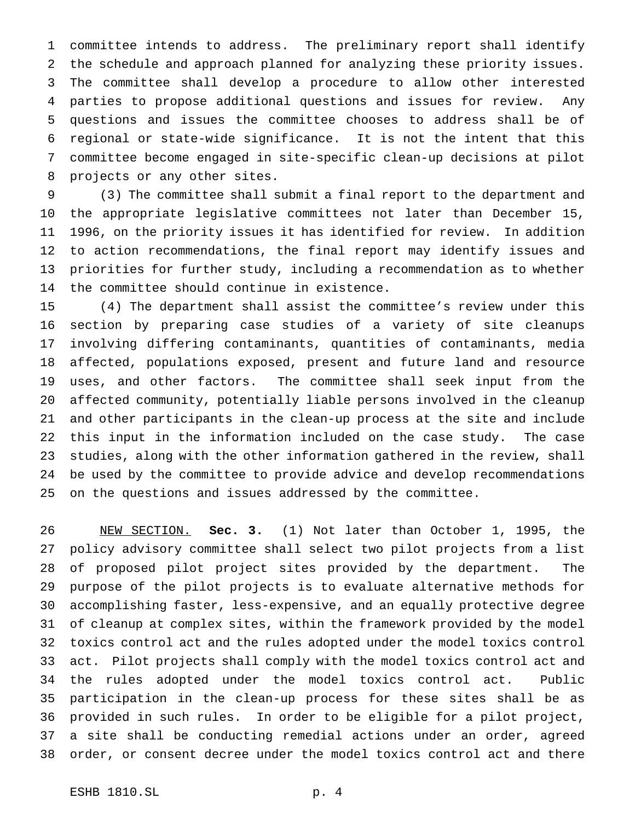committee intends to address. The preliminary report shall identify the schedule and approach planned for analyzing these priority issues. The committee shall develop a procedure to allow other interested parties to propose additional questions and issues for review. Any questions and issues the committee chooses to address shall be of regional or state-wide significance. It is not the intent that this committee become engaged in site-specific clean-up decisions at pilot projects or any other sites.

 (3) The committee shall submit a final report to the department and the appropriate legislative committees not later than December 15, 1996, on the priority issues it has identified for review. In addition to action recommendations, the final report may identify issues and priorities for further study, including a recommendation as to whether the committee should continue in existence.

 (4) The department shall assist the committee's review under this section by preparing case studies of a variety of site cleanups involving differing contaminants, quantities of contaminants, media affected, populations exposed, present and future land and resource uses, and other factors. The committee shall seek input from the affected community, potentially liable persons involved in the cleanup and other participants in the clean-up process at the site and include this input in the information included on the case study. The case studies, along with the other information gathered in the review, shall be used by the committee to provide advice and develop recommendations on the questions and issues addressed by the committee.

 NEW SECTION. **Sec. 3.** (1) Not later than October 1, 1995, the policy advisory committee shall select two pilot projects from a list of proposed pilot project sites provided by the department. The purpose of the pilot projects is to evaluate alternative methods for accomplishing faster, less-expensive, and an equally protective degree of cleanup at complex sites, within the framework provided by the model toxics control act and the rules adopted under the model toxics control act. Pilot projects shall comply with the model toxics control act and the rules adopted under the model toxics control act. Public participation in the clean-up process for these sites shall be as provided in such rules. In order to be eligible for a pilot project, a site shall be conducting remedial actions under an order, agreed order, or consent decree under the model toxics control act and there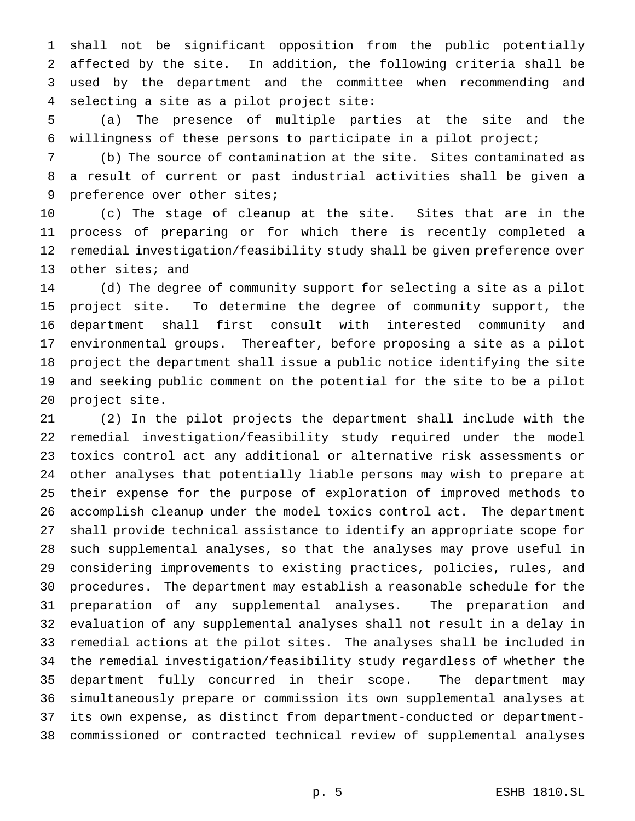shall not be significant opposition from the public potentially affected by the site. In addition, the following criteria shall be used by the department and the committee when recommending and selecting a site as a pilot project site:

 (a) The presence of multiple parties at the site and the willingness of these persons to participate in a pilot project;

 (b) The source of contamination at the site. Sites contaminated as a result of current or past industrial activities shall be given a 9 preference over other sites;

 (c) The stage of cleanup at the site. Sites that are in the process of preparing or for which there is recently completed a remedial investigation/feasibility study shall be given preference over other sites; and

 (d) The degree of community support for selecting a site as a pilot project site. To determine the degree of community support, the department shall first consult with interested community and environmental groups. Thereafter, before proposing a site as a pilot project the department shall issue a public notice identifying the site and seeking public comment on the potential for the site to be a pilot project site.

 (2) In the pilot projects the department shall include with the remedial investigation/feasibility study required under the model toxics control act any additional or alternative risk assessments or other analyses that potentially liable persons may wish to prepare at their expense for the purpose of exploration of improved methods to accomplish cleanup under the model toxics control act. The department shall provide technical assistance to identify an appropriate scope for such supplemental analyses, so that the analyses may prove useful in considering improvements to existing practices, policies, rules, and procedures. The department may establish a reasonable schedule for the preparation of any supplemental analyses. The preparation and evaluation of any supplemental analyses shall not result in a delay in remedial actions at the pilot sites. The analyses shall be included in the remedial investigation/feasibility study regardless of whether the department fully concurred in their scope. The department may simultaneously prepare or commission its own supplemental analyses at its own expense, as distinct from department-conducted or department-commissioned or contracted technical review of supplemental analyses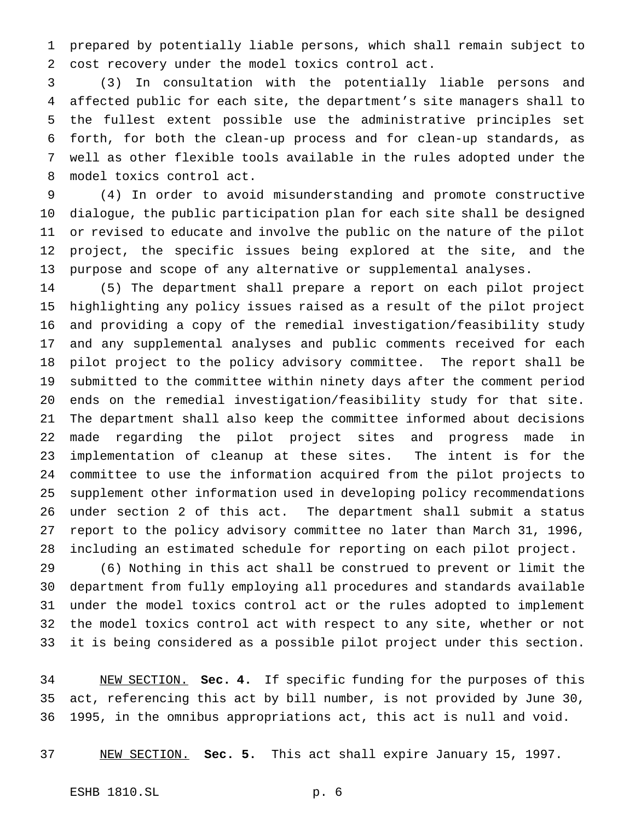prepared by potentially liable persons, which shall remain subject to cost recovery under the model toxics control act.

 (3) In consultation with the potentially liable persons and affected public for each site, the department's site managers shall to the fullest extent possible use the administrative principles set forth, for both the clean-up process and for clean-up standards, as well as other flexible tools available in the rules adopted under the model toxics control act.

 (4) In order to avoid misunderstanding and promote constructive dialogue, the public participation plan for each site shall be designed or revised to educate and involve the public on the nature of the pilot project, the specific issues being explored at the site, and the purpose and scope of any alternative or supplemental analyses.

 (5) The department shall prepare a report on each pilot project highlighting any policy issues raised as a result of the pilot project and providing a copy of the remedial investigation/feasibility study and any supplemental analyses and public comments received for each pilot project to the policy advisory committee. The report shall be submitted to the committee within ninety days after the comment period ends on the remedial investigation/feasibility study for that site. The department shall also keep the committee informed about decisions made regarding the pilot project sites and progress made in implementation of cleanup at these sites. The intent is for the committee to use the information acquired from the pilot projects to supplement other information used in developing policy recommendations under section 2 of this act. The department shall submit a status report to the policy advisory committee no later than March 31, 1996, including an estimated schedule for reporting on each pilot project.

 (6) Nothing in this act shall be construed to prevent or limit the department from fully employing all procedures and standards available under the model toxics control act or the rules adopted to implement the model toxics control act with respect to any site, whether or not it is being considered as a possible pilot project under this section.

 NEW SECTION. **Sec. 4.** If specific funding for the purposes of this act, referencing this act by bill number, is not provided by June 30, 1995, in the omnibus appropriations act, this act is null and void.

NEW SECTION. **Sec. 5.** This act shall expire January 15, 1997.